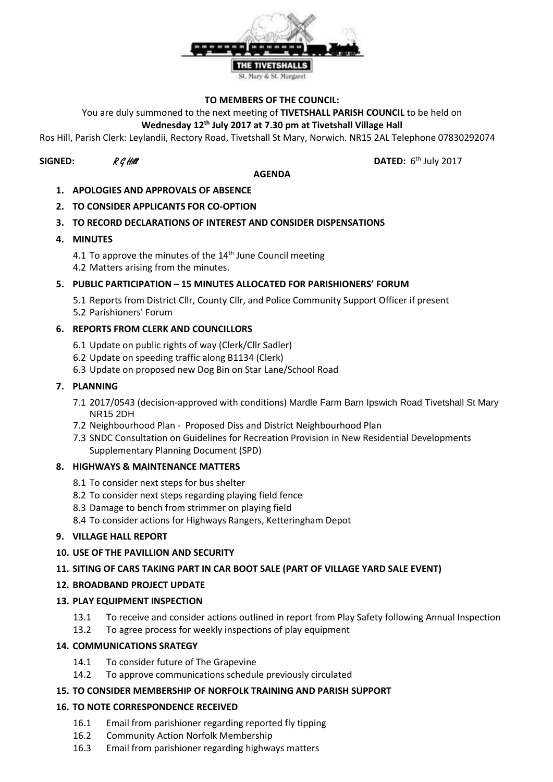

#### **TO MEMBERS OF THE COUNCIL:**

You are duly summoned to the next meeting of **TIVETSHALL PARISH COUNCIL** to be held on

### **Wednesday 12th July 2017 at 7.30 pm at Tivetshall Village Hall**

Ros Hill, Parish Clerk: Leylandii, Rectory Road, Tivetshall St Mary, Norwich. NR15 2AL Telephone 07830292074

# **SIGNED:**  $R \mathcal{G}$  Hill **DATED:** 6

#### **AGENDA**

DATED:  $6<sup>th</sup>$  July 2017

- **1. APOLOGIES AND APPROVALS OF ABSENCE**
- **2. TO CONSIDER APPLICANTS FOR CO-OPTION**

### **3. TO RECORD DECLARATIONS OF INTEREST AND CONSIDER DISPENSATIONS**

- **4. MINUTES**
	- 4.1 To approve the minutes of the  $14<sup>th</sup>$  June Council meeting 4.2 Matters arising from the minutes.

### **5. PUBLIC PARTICIPATION – 15 MINUTES ALLOCATED FOR PARISHIONERS' FORUM**

5.1 Reports from District Cllr, County Cllr, and Police Community Support Officer if present 5.2 Parishioners' Forum

### **6. REPORTS FROM CLERK AND COUNCILLORS**

- 6.1 Update on public rights of way (Clerk/Cllr Sadler)
- 6.2 Update on speeding traffic along B1134 (Clerk)
- 6.3 Update on proposed new Dog Bin on Star Lane/School Road

### **7. PLANNING**

- 7.1 2017/0543 (decision-approved with conditions) Mardle Farm Barn Ipswich Road Tivetshall St Mary NR15 2DH
- 7.2 Neighbourhood Plan Proposed Diss and District Neighbourhood Plan
- 7.3 SNDC Consultation on Guidelines for Recreation Provision in New Residential Developments Supplementary Planning Document (SPD)

### **8. HIGHWAYS & MAINTENANCE MATTERS**

- 8.1 To consider next steps for bus shelter
- 8.2 To consider next steps regarding playing field fence
- 8.3 Damage to bench from strimmer on playing field
- 8.4 To consider actions for Highways Rangers, Ketteringham Depot

### **9. VILLAGE HALL REPORT**

**10. USE OF THE PAVILLION AND SECURITY**

# **11. SITING OF CARS TAKING PART IN CAR BOOT SALE (PART OF VILLAGE YARD SALE EVENT)**

# **12. BROADBAND PROJECT UPDATE**

# **13. PLAY EQUIPMENT INSPECTION**

- 13.1 To receive and consider actions outlined in report from Play Safety following Annual Inspection
- 13.2 To agree process for weekly inspections of play equipment

### **14. COMMUNICATIONS SRATEGY**

- 14.1 To consider future of The Grapevine
- 14.2 To approve communications schedule previously circulated

### **15. TO CONSIDER MEMBERSHIP OF NORFOLK TRAINING AND PARISH SUPPORT**

# **16. TO NOTE CORRESPONDENCE RECEIVED**

- 16.1 Email from parishioner regarding reported fly tipping
- 16.2 Community Action Norfolk Membership
- 16.3 Email from parishioner regarding highways matters